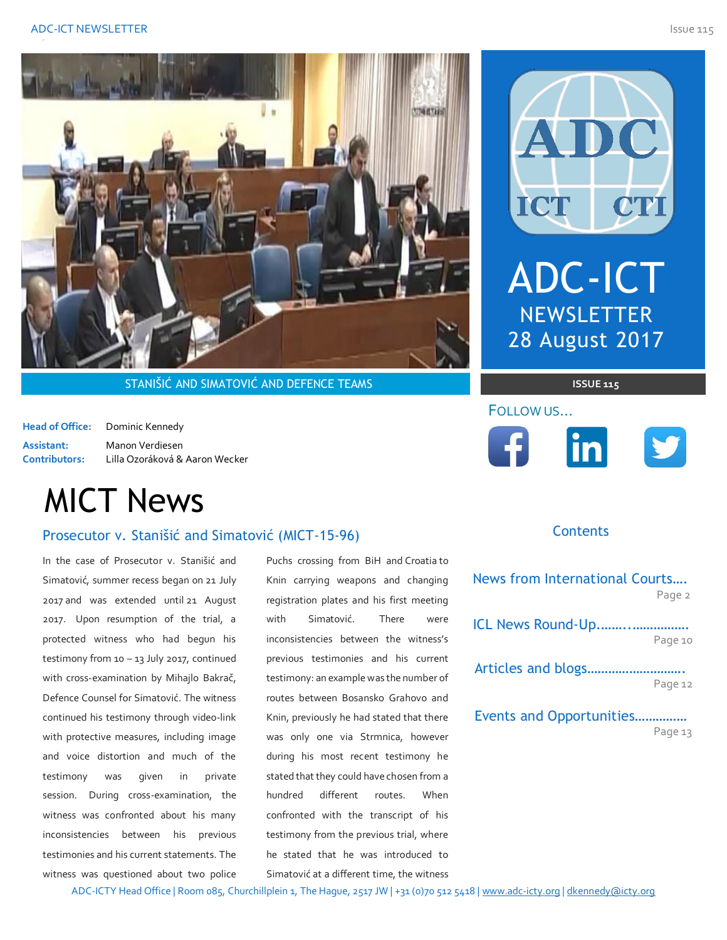

STANIŠIĆ AND SIMATOVIĆ AND DEFENCE TEAMS **ISSUE 115 ISSUE 115** 

**Head of Office:** Dominic Kennedy **Assistant:** Manon Verdiesen **Contributors:** Lilla Ozoráková & Aaron Wecker

# MICT News

# Prosecutor v. Stanišić and Simatović (MICT-15-96) **The authority of the Association of the Vence Contents**

In the case of Prosecutor v. Stanišić and Simatović, summer recess began on 21 July 2017 and was extended until 21 August 2017. Upon resumption of the trial, a protected witness who had begun his testimony from 10 – 13 July 2017, continued with cross-examination by Mihajlo Bakrač, Defence Counsel for Simatović. The witness continued his testimony through video-link with protective measures, including image and voice distortion and much of the testimony was given in private session. During cross-examination, the witness was confronted about his many inconsistencies between his previous testimonies and his current statements. The witness was questioned about two police

Puchs crossing from BiH and Croatia to Knin carrying weapons and changing registration plates and his first meeting with Simatović. There were inconsistencies between the witness' previous testimonies and his current testimony: an example was the number of routes between Bosansko Grahovo and Knin, previously he had stated that there was only one via Strmnica, however during his most recent testimony he stated that they could have chosen from a hundred different routes. When confronted with the transcript of his testimony from the previous trial, where he stated that he was introduced to Simatović at a different time, the witness



ADC-ICT

**NEWSLETTER** 

28 August 2017

### **Contents**

|              | News from International Courts |         |
|--------------|--------------------------------|---------|
| g            |                                | Page 2  |
| e            | ICL News Round-Up              |         |
| Ś            |                                | Page 10 |
| t            |                                |         |
| $\mathsf{f}$ |                                | Page 12 |
| Ł            |                                |         |
| è            | Events and Opportunities       |         |
| r            |                                | Page 13 |

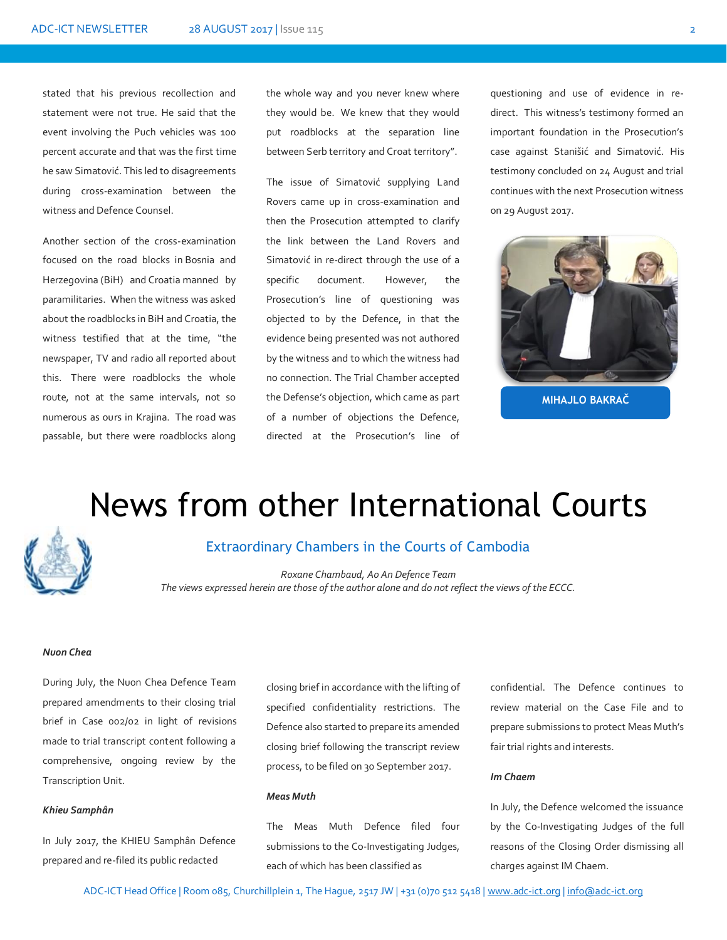stated that his previous recollection and statement were not true. He said that the event involving the Puch vehicles was 100 percent accurate and that was the first time he saw Simatović. This led to disagreements during cross-examination between the witness and Defence Counsel.

Another section of the cross-examination focused on the road blocks in Bosnia and Herzegovina (BiH) and Croatia manned by paramilitaries. When the witness was asked about the roadblocks in BiH and Croatia, the witness testified that at the time, "the newspaper, TV and radio all reported about this. There were roadblocks the whole route, not at the same intervals, not so numerous as ours in Krajina. The road was passable, but there were roadblocks along

the whole way and you never knew where they would be. We knew that they would put roadblocks at the separation line between Serb territory and Croat territory".

The issue of Simatović supplying Land Rovers came up in cross-examination and then the Prosecution attempted to clarify the link between the Land Rovers and Simatović in re-direct through the use of a specific document. However, the Prosecution's line of questioning was objected to by the Defence, in that the evidence being presented was not authored by the witness and to which the witness had no connection. The Trial Chamber accepted the Defense's objection, which came as part of a number of objections the Defence, directed at the Prosecution's line of

questioning and use of evidence in redirect. This witness's testimony formed an important foundation in the Prosecution's case against Stanišić and Simatović. His testimony concluded on 24 August and trial continues with the next Prosecution witness on 29 August 2017.



# News from other International Courts



# Extraordinary Chambers in the Courts of Cambodia

*Roxane Chambaud, Ao An Defence Team The views expressed herein are those of the author alone and do not reflect the views of the ECCC.*

### *Nuon Chea*

During July, the Nuon Chea Defence Team prepared amendments to their closing trial brief in Case 002/02 in light of revisions made to trial transcript content following a comprehensive, ongoing review by the Transcription Unit.

#### *Khieu Samphân*

In July 2017, the KHIEU Samphân Defence prepared and re-filed its public redacted

closing brief in accordance with the lifting of specified confidentiality restrictions. The Defence also started to prepare its amended closing brief following the transcript review process, to be filed on 30 September 2017.

#### *Meas Muth*

The Meas Muth Defence filed four submissions to the Co-Investigating Judges, each of which has been classified as

confidential. The Defence continues to review material on the Case File and to prepare submissions to protect Meas Muth's fair trial rights and interests.

#### *Im Chaem*

In July, the Defence welcomed the issuance by the Co-Investigating Judges of the full reasons of the Closing Order dismissing all charges against IM Chaem.

ADC-ICT Head Office | Room 085, Churchillplein 1, The Hague, 2517 JW | +31 (0)70 512 5418 [| www.adc-ict.org](http://www.adc-ict.org/) | [info@adc-ict.org](mailto:info@adc-ict.org)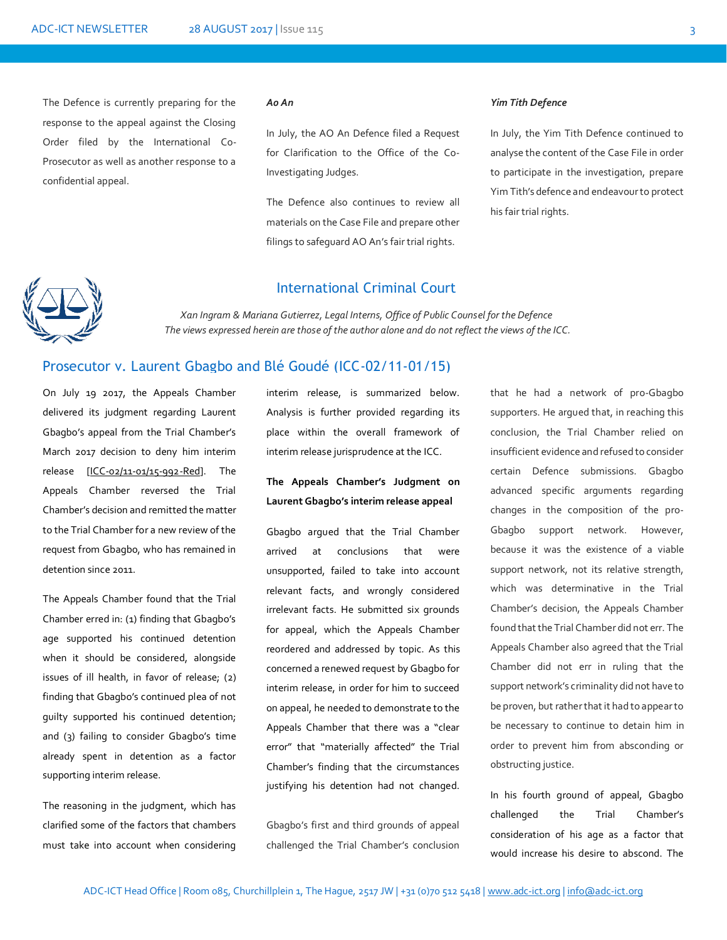The Defence is currently preparing for the response to the appeal against the Closing Order filed by the International Co-Prosecutor as well as another response to a confidential appeal.

#### *Ao An*

In July, the AO An Defence filed a Request for Clarification to the Office of the Co-Investigating Judges.

The Defence also continues to review all materials on the Case File and prepare other filings to safeguard AO An's fair trial rights.

### *Yim Tith Defence*

In July, the Yim Tith Defence continued to analyse the content of the Case File in order to participate in the investigation, prepare Yim Tith's defence and endeavour to protect his fair trial rights.



### International Criminal Court

*Xan Ingram & Mariana Gutierrez, Legal Interns, Office of Public Counsel for the Defence The views expressed herein are those of the author alone and do not reflect the views of the ICC.*

# *.* Prosecutor v. Laurent Gbagbo and Blé Goudé (ICC-02/11-01/15)

On July 19 2017, the Appeals Chamber delivered its judgment regarding Laurent Gbagbo's appeal from the Trial Chamber's March 2017 decision to deny him interim release [\[ICC-02/11-01/15-992-Red\]](https://www.icc-cpi.int/Pages/record.aspx?docNo=ICC-02/11-01/15-992-Red). The Appeals Chamber reversed the Trial Chamber's decision and remitted the matter to the Trial Chamber for a new review of the request from Gbagbo, who has remained in detention since 2011.

The Appeals Chamber found that the Trial Chamber erred in: (1) finding that Gbagbo's age supported his continued detention when it should be considered, alongside issues of ill health, in favor of release; (2) finding that Gbagbo's continued plea of not guilty supported his continued detention; and (3) failing to consider Gbagbo's time already spent in detention as a factor supporting interim release.

The reasoning in the judgment, which has clarified some of the factors that chambers must take into account when considering interim release, is summarized below. Analysis is further provided regarding its place within the overall framework of interim release jurisprudence at the ICC.

## **The Appeals Chamber's Judgment on Laurent Gbagbo's interim release appeal**

Gbagbo argued that the Trial Chamber arrived at conclusions that were unsupported, failed to take into account relevant facts, and wrongly considered irrelevant facts. He submitted six grounds for appeal, which the Appeals Chamber reordered and addressed by topic. As this concerned a renewed request by Gbagbo for interim release, in order for him to succeed on appeal, he needed to demonstrate to the Appeals Chamber that there was a "clear error" that "materially affected" the Trial Chamber's finding that the circumstances justifying his detention had not changed.

Gbagbo's first and third grounds of appeal challenged the Trial Chamber's conclusion that he had a network of pro-Gbagbo supporters. He argued that, in reaching this conclusion, the Trial Chamber relied on insufficient evidence and refused to consider certain Defence submissions. Gbagbo advanced specific arguments regarding changes in the composition of the pro-Gbagbo support network. However, because it was the existence of a viable support network, not its relative strength, which was determinative in the Trial Chamber's decision, the Appeals Chamber found that the Trial Chamber did not err. The Appeals Chamber also agreed that the Trial Chamber did not err in ruling that the support network's criminality did not have to be proven, but rather that it had to appear to be necessary to continue to detain him in order to prevent him from absconding or obstructing justice.

In his fourth ground of appeal, Gbagbo challenged the Trial Chamber's consideration of his age as a factor that would increase his desire to abscond. The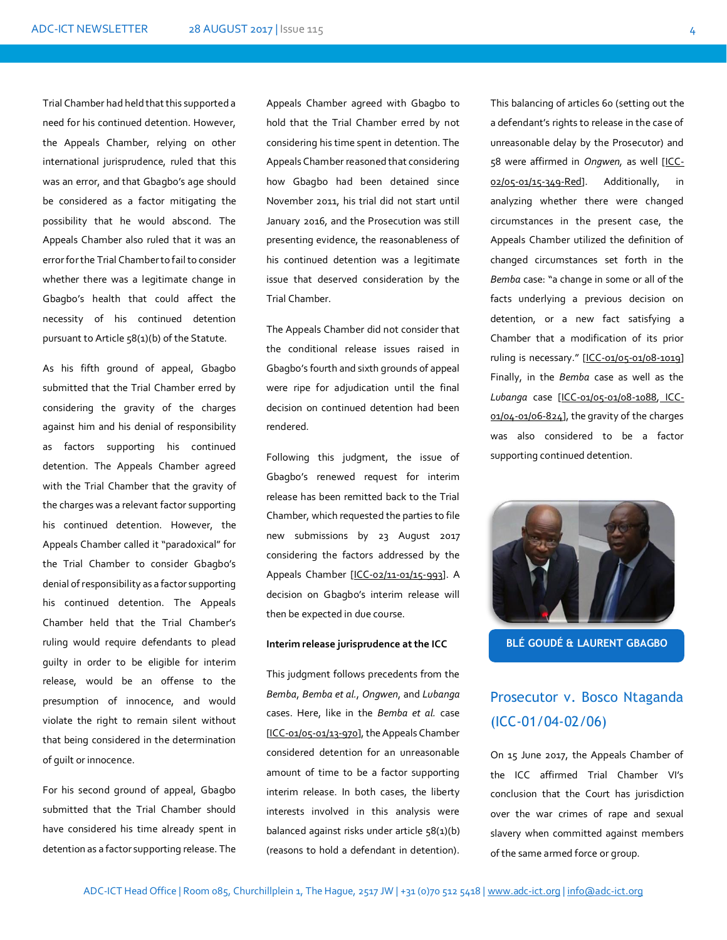Trial Chamber had held that this supported a need for his continued detention. However, the Appeals Chamber, relying on other international jurisprudence, ruled that this was an error, and that Gbagbo's age should be considered as a factor mitigating the possibility that he would abscond. The Appeals Chamber also ruled that it was an error for the Trial Chamber to fail to consider whether there was a legitimate change in Gbagbo's health that could affect the necessity of his continued detention pursuant to Article 58(1)(b) of the Statute.

As his fifth ground of appeal, Gbagbo submitted that the Trial Chamber erred by considering the gravity of the charges against him and his denial of responsibility as factors supporting his continued detention. The Appeals Chamber agreed with the Trial Chamber that the gravity of the charges was a relevant factor supporting his continued detention. However, the Appeals Chamber called it "paradoxical" for the Trial Chamber to consider Gbagbo's denial of responsibility as a factor supporting his continued detention. The Appeals Chamber held that the Trial Chamber's ruling would require defendants to plead guilty in order to be eligible for interim release, would be an offense to the presumption of innocence, and would violate the right to remain silent without that being considered in the determination of guilt or innocence.

For his second ground of appeal, Gbagbo submitted that the Trial Chamber should have considered his time already spent in detention as a factor supporting release. The

Appeals Chamber agreed with Gbagbo to hold that the Trial Chamber erred by not considering his time spent in detention. The Appeals Chamber reasoned that considering how Gbagbo had been detained since November 2011, his trial did not start until January 2016, and the Prosecution was still presenting evidence, the reasonableness of his continued detention was a legitimate issue that deserved consideration by the Trial Chamber.

The Appeals Chamber did not consider that the conditional release issues raised in Gbagbo's fourth and sixth grounds of appeal were ripe for adjudication until the final decision on continued detention had been rendered.

Following this judgment, the issue of Gbagbo's renewed request for interim release has been remitted back to the Trial Chamber, which requested the parties to file new submissions by 23 August 2017 considering the factors addressed by the Appeals Chamber [\[ICC-02/11-01/15-993\]](https://www.icc-cpi.int/CourtRecords/CR2017_04689.PDF). A decision on Gbagbo's interim release will then be expected in due course.

#### **Interim release jurisprudence at the ICC**

This judgment follows precedents from the *Bemba*, *Bemba et al.*, *Ongwen*, and *Lubanga*  cases. Here, like in the *Bemba et al.* case [\[ICC-01/05-01/13-970\]](https://www.icc-cpi.int/CourtRecords/CR2015_06135.PDF), the Appeals Chamber considered detention for an unreasonable amount of time to be a factor supporting interim release. In both cases, the liberty interests involved in this analysis were balanced against risks under article 58(1)(b) (reasons to hold a defendant in detention).

This balancing of articles 60 (setting out the a defendant's rights to release in the case of unreasonable delay by the Prosecutor) and 58 were affirmed in *Ongwen,* as well [\[ICC-](https://www.icc-cpi.int/CourtRecords/CR2015_22857.PDF)[02/05-01/15-349-Red\]](https://www.icc-cpi.int/CourtRecords/CR2015_22857.PDF). Additionally, in analyzing whether there were changed circumstances in the present case, the Appeals Chamber utilized the definition of changed circumstances set forth in the *Bemba* case: "a change in some or all of the facts underlying a previous decision on detention, or a new fact satisfying a Chamber that a modification of its prior ruling is necessary." [[ICC-01/05-01/08-1019\]](https://www.icc-cpi.int/CourtRecords/CR2010_10640.PDF) Finally, in the *Bemba* case as well as the *Lubanga* case [\[ICC-01/05-01/08-1088,](https://www.icc-cpi.int/CourtRecords/CR2010_11293.PDF) [ICC-](https://www.icc-cpi.int/CourtRecords/CR2007_01422.PDF)[01/04-01/06-824\]](https://www.icc-cpi.int/CourtRecords/CR2007_01422.PDF), the gravity of the charges was also considered to be a factor supporting continued detention.



**BLÉ GOUDÉ & LAURENT GBAGBO**

# Prosecutor v. Bosco Ntaganda (ICC-01/04-02/06)

On 15 June 2017, the Appeals Chamber of the ICC affirmed Trial Chamber VI's conclusion that the Court has jurisdiction over the war crimes of rape and sexual slavery when committed against members of the same armed force or group.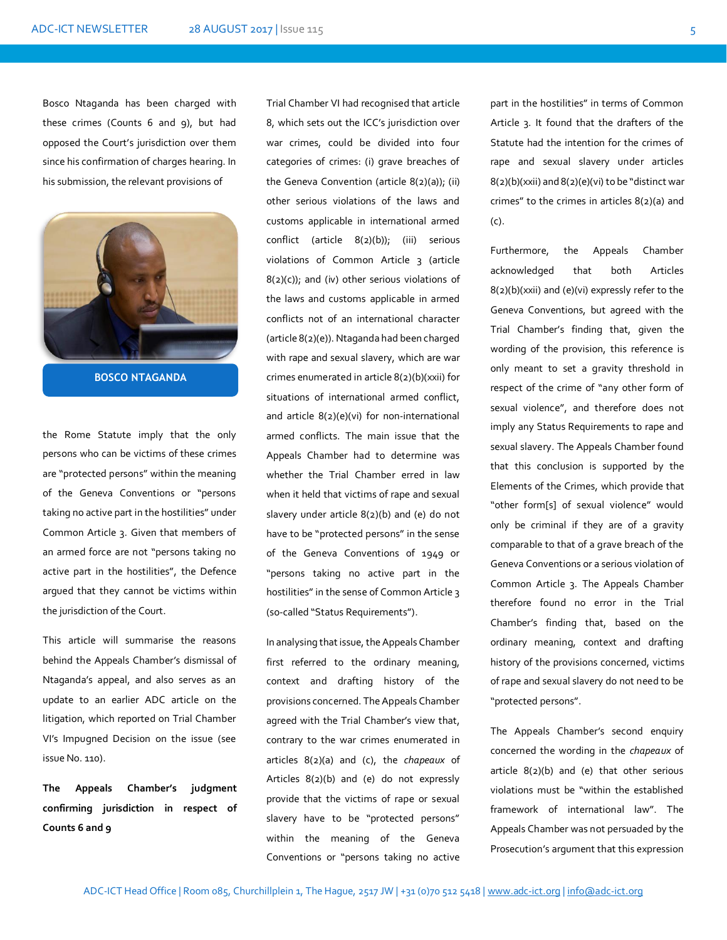Bosco Ntaganda has been charged with these crimes (Counts 6 and 9), but had opposed the Court's jurisdiction over them since his confirmation of charges hearing. In his submission, the relevant provisions of



**BOSCO NTAGANDA**

the Rome Statute imply that the only persons who can be victims of these crimes are "protected persons" within the meaning of the Geneva Conventions or "persons taking no active part in the hostilities" under Common Article 3. Given that members of an armed force are not "persons taking no active part in the hostilities", the Defence argued that they cannot be victims within the jurisdiction of the Court.

This article will summarise the reasons behind the Appeals Chamber's dismissal of Ntaganda's appeal, and also serves as an update to an earlier ADC article on the litigation, which reported on Trial Chamber VI's Impugned Decision on the issue (see issue No. 110).

**The Appeals Chamber's judgment confirming jurisdiction in respect of Counts 6 and 9**

Trial Chamber VI had recognised that article 8, which sets out the ICC's jurisdiction over war crimes, could be divided into four categories of crimes: (i) grave breaches of the Geneva Convention (article 8(2)(a)); (ii) other serious violations of the laws and customs applicable in international armed conflict (article 8(2)(b)); (iii) serious violations of Common Article 3 (article  $8(2)(c)$ ; and (iv) other serious violations of the laws and customs applicable in armed conflicts not of an international character (article 8(2)(e)). Ntaganda had been charged with rape and sexual slavery, which are war crimes enumerated in article 8(2)(b)(xxii) for situations of international armed conflict, and article 8(2)(e)(vi) for non-international armed conflicts. The main issue that the Appeals Chamber had to determine was whether the Trial Chamber erred in law when it held that victims of rape and sexual slavery under article 8(2)(b) and (e) do not have to be "protected persons" in the sense of the Geneva Conventions of 1949 or "persons taking no active part in the hostilities" in the sense of Common Article 3 (so-called "Status Requirements").

In analysing that issue, the Appeals Chamber first referred to the ordinary meaning, context and drafting history of the provisions concerned. The Appeals Chamber agreed with the Trial Chamber's view that, contrary to the war crimes enumerated in articles 8(2)(a) and (c), the *chapeaux* of Articles 8(2)(b) and (e) do not expressly provide that the victims of rape or sexual slavery have to be "protected persons" within the meaning of the Geneva Conventions or "persons taking no active part in the hostilities" in terms of Common Article 3. It found that the drafters of the Statute had the intention for the crimes of rape and sexual slavery under articles 8(2)(b)(xxii) and 8(2)(e)(vi) to be "distinct war crimes" to the crimes in articles 8(2)(a) and (c).

Furthermore, the Appeals Chamber acknowledged that both Articles 8(2)(b)(xxii) and (e)(vi) expressly refer to the Geneva Conventions, but agreed with the Trial Chamber's finding that, given the wording of the provision, this reference is only meant to set a gravity threshold in respect of the crime of "any other form of sexual violence", and therefore does not imply any Status Requirements to rape and sexual slavery. The Appeals Chamber found that this conclusion is supported by the Elements of the Crimes, which provide that "other form[s] of sexual violence" would only be criminal if they are of a gravity comparable to that of a grave breach of the Geneva Conventions or a serious violation of Common Article 3. The Appeals Chamber therefore found no error in the Trial Chamber's finding that, based on the ordinary meaning, context and drafting history of the provisions concerned, victims of rape and sexual slavery do not need to be "protected persons".

The Appeals Chamber's second enquiry concerned the wording in the *chapeaux* of article 8(2)(b) and (e) that other serious violations must be "within the established framework of international law". The Appeals Chamber was not persuaded by the Prosecution's argument that this expression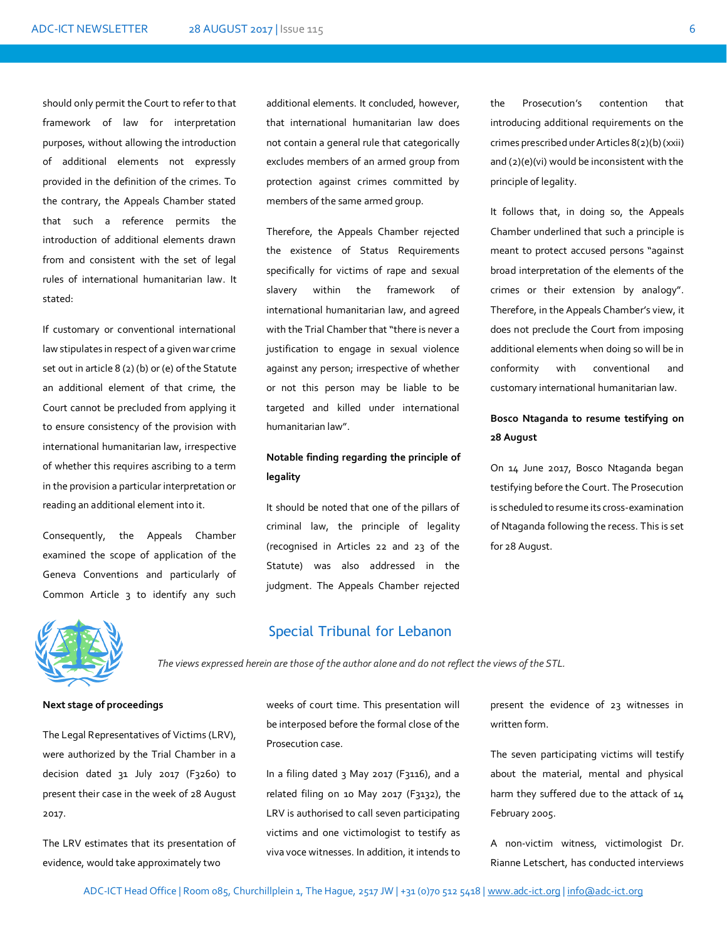should only permit the Court to refer to that framework of law for interpretation purposes, without allowing the introduction of additional elements not expressly provided in the definition of the crimes. To the contrary, the Appeals Chamber stated that such a reference permits the introduction of additional elements drawn from and consistent with the set of legal rules of international humanitarian law. It stated:

If customary or conventional international law stipulates in respect of a given war crime set out in article 8 (2) (b) or (e) of the Statute an additional element of that crime, the Court cannot be precluded from applying it to ensure consistency of the provision with international humanitarian law, irrespective of whether this requires ascribing to a term in the provision a particular interpretation or reading an additional element into it*.*

Consequently, the Appeals Chamber examined the scope of application of the Geneva Conventions and particularly of Common Article 3 to identify any such

additional elements. It concluded, however, that international humanitarian law does not contain a general rule that categorically excludes members of an armed group from protection against crimes committed by members of the same armed group.

Therefore, the Appeals Chamber rejected the existence of Status Requirements specifically for victims of rape and sexual slavery within the framework of international humanitarian law, and agreed with the Trial Chamber that "there is never a justification to engage in sexual violence against any person; irrespective of whether or not this person may be liable to be targeted and killed under international humanitarian law".

# **Notable finding regarding the principle of legality**

It should be noted that one of the pillars of criminal law, the principle of legality (recognised in Articles 22 and 23 of the Statute) was also addressed in the judgment. The Appeals Chamber rejected

the Prosecution's contention that introducing additional requirements on the crimes prescribed under Articles 8(2)(b) (xxii) and (2)(e)(vi) would be inconsistent with the principle of legality.

It follows that, in doing so, the Appeals Chamber underlined that such a principle is meant to protect accused persons "against broad interpretation of the elements of the crimes or their extension by analogy". Therefore, in the Appeals Chamber's view, it does not preclude the Court from imposing additional elements when doing so will be in conformity with conventional and customary international humanitarian law.

# **Bosco Ntaganda to resume testifying on 28 August**

On 14 June 2017, Bosco Ntaganda began testifying before the Court. The Prosecution is scheduled to resume its cross-examination of Ntaganda following the recess. This is set for 28 August.



### Special Tribunal for Lebanon

*The views expressed herein are those of the author alone and do not reflect the views of the STL.*

#### **Next stage of proceedings**

The Legal Representatives of Victims (LRV), were authorized by the Trial Chamber in a decision dated 31 July 2017 (F3260) to present their case in the week of 28 August 2017.

The LRV estimates that its presentation of evidence, would take approximately two

weeks of court time. This presentation will be interposed before the formal close of the Prosecution case.

In a filing dated 3 May 2017 (F3116), and a related filing on 10 May 2017 (F3132), the LRV is authorised to call seven participating victims and one victimologist to testify as viva voce witnesses. In addition, it intends to

present the evidence of 23 witnesses in written form.

The seven participating victims will testify about the material, mental and physical harm they suffered due to the attack of 14 February 2005.

A non-victim witness, victimologist Dr. Rianne Letschert, has conducted interviews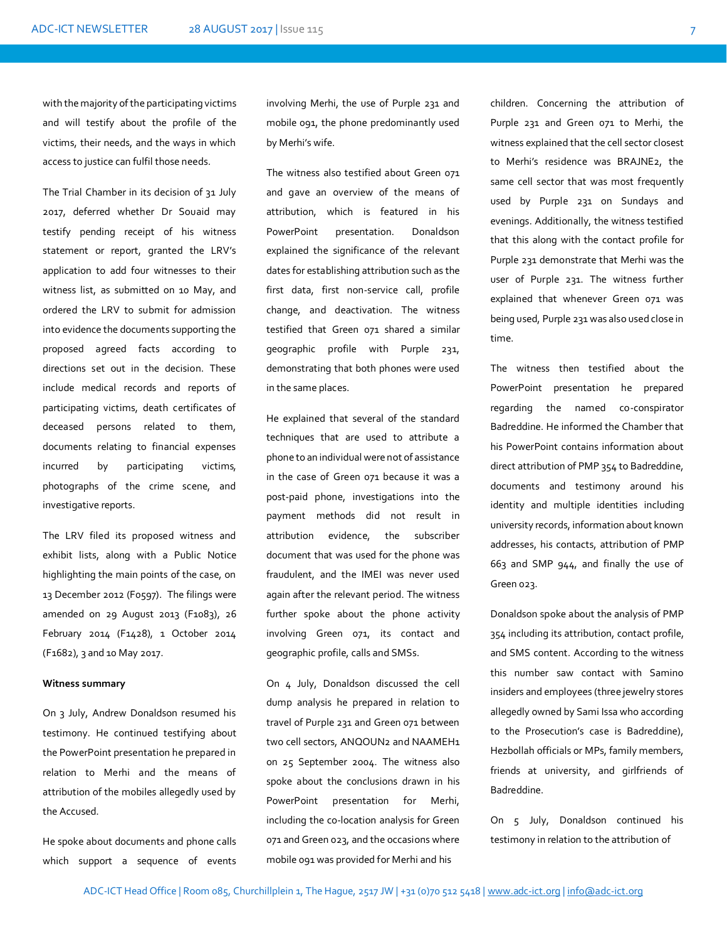with the majority of the participating victims and will testify about the profile of the victims, their needs, and the ways in which access to justice can fulfil those needs.

The Trial Chamber in its decision of 31 July 2017, deferred whether Dr Souaid may testify pending receipt of his witness statement or report, granted the LRV's application to add four witnesses to their witness list, as submitted on 10 May, and ordered the LRV to submit for admission into evidence the documents supporting the proposed agreed facts according to directions set out in the decision. These include medical records and reports of participating victims, death certificates of deceased persons related to them, documents relating to financial expenses incurred by participating victims, photographs of the crime scene, and investigative reports.

The LRV filed its proposed witness and exhibit lists, along with a Public Notice highlighting the main points of the case, on 13 December 2012 (F0597). The filings were amended on 29 August 2013 (F1083), 26 February 2014 (F1428), 1 October 2014 (F1682), 3 and 10 May 2017.

### **Witness summary**

On 3 July, Andrew Donaldson resumed his testimony. He continued testifying about the PowerPoint presentation he prepared in relation to Merhi and the means of attribution of the mobiles allegedly used by the Accused.

He spoke about documents and phone calls which support a sequence of events

involving Merhi, the use of Purple 231 and mobile 091, the phone predominantly used by Merhi's wife.

The witness also testified about Green 071 and gave an overview of the means of attribution, which is featured in his PowerPoint presentation. Donaldson explained the significance of the relevant dates for establishing attribution such as the first data, first non-service call, profile change, and deactivation. The witness testified that Green 071 shared a similar geographic profile with Purple 231, demonstrating that both phones were used in the same places.

He explained that several of the standard techniques that are used to attribute a phone to an individual were not of assistance in the case of Green 071 because it was a post-paid phone, investigations into the payment methods did not result in attribution evidence, the subscriber document that was used for the phone was fraudulent, and the IMEI was never used again after the relevant period. The witness further spoke about the phone activity involving Green 071, its contact and geographic profile, calls and SMSs.

On 4 July, Donaldson discussed the cell dump analysis he prepared in relation to travel of Purple 231 and Green 071 between two cell sectors, ANQOUN2 and NAAMEH1 on 25 September 2004. The witness also spoke about the conclusions drawn in his PowerPoint presentation for Merhi, including the co-location analysis for Green 071 and Green 023, and the occasions where mobile 091 was provided for Merhi and his

children. Concerning the attribution of Purple 231 and Green 071 to Merhi, the witness explained that the cell sector closest to Merhi's residence was BRAJNE2, the same cell sector that was most frequently used by Purple 231 on Sundays and evenings. Additionally, the witness testified that this along with the contact profile for Purple 231 demonstrate that Merhi was the user of Purple 231. The witness further explained that whenever Green 071 was being used, Purple 231 was also used close in time.

The witness then testified about the PowerPoint presentation he prepared regarding the named co-conspirator Badreddine. He informed the Chamber that his PowerPoint contains information about direct attribution of PMP 354 to Badreddine, documents and testimony around his identity and multiple identities including university records, information about known addresses, his contacts, attribution of PMP 663 and SMP 944, and finally the use of Green 023.

Donaldson spoke about the analysis of PMP 354 including its attribution, contact profile, and SMS content. According to the witness this number saw contact with Samino insiders and employees (three jewelry stores allegedly owned by Sami Issa who according to the Prosecution's case is Badreddine), Hezbollah officials or MPs, family members, friends at university, and girlfriends of Badreddine.

On 5 July, Donaldson continued his testimony in relation to the attribution of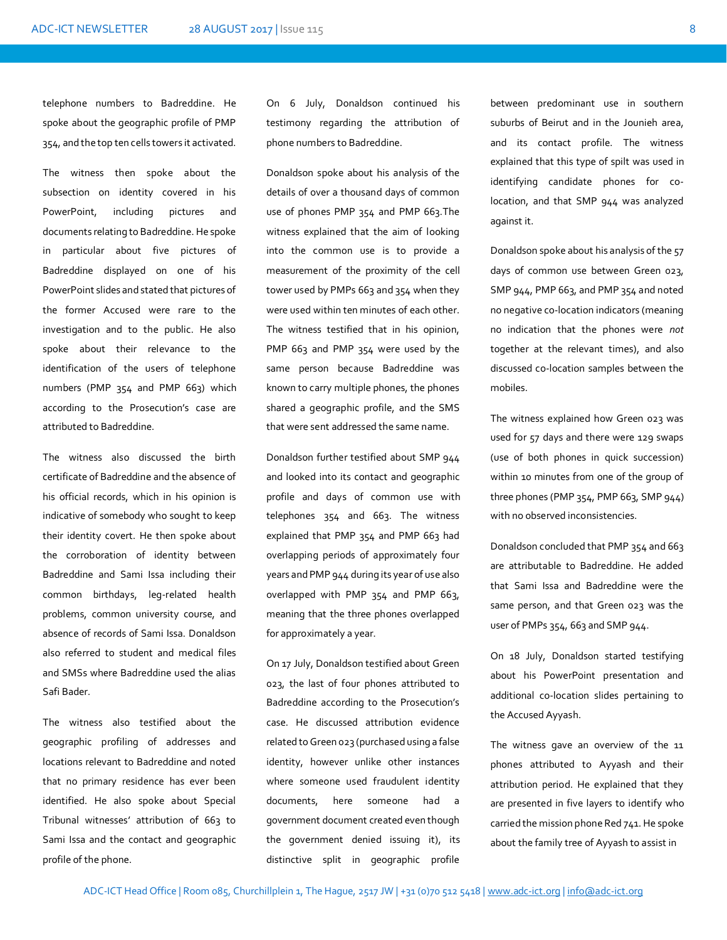telephone numbers to Badreddine. He spoke about the geographic profile of PMP 354, and the top ten cells towers it activated.

The witness then spoke about the subsection on identity covered in his PowerPoint, including pictures and documents relating to Badreddine. He spoke in particular about five pictures of Badreddine displayed on one of his PowerPoint slides and stated that pictures of the former Accused were rare to the investigation and to the public. He also spoke about their relevance to the identification of the users of telephone numbers (PMP 354 and PMP 663) which according to the Prosecution's case are attributed to Badreddine.

The witness also discussed the birth certificate of Badreddine and the absence of his official records, which in his opinion is indicative of somebody who sought to keep their identity covert. He then spoke about the corroboration of identity between Badreddine and Sami Issa including their common birthdays, leg-related health problems, common university course, and absence of records of Sami Issa. Donaldson also referred to student and medical files and SMSs where Badreddine used the alias Safi Bader.

The witness also testified about the geographic profiling of addresses and locations relevant to Badreddine and noted that no primary residence has ever been identified. He also spoke about Special Tribunal witnesses' attribution of 663 to Sami Issa and the contact and geographic profile of the phone.

On 6 July, Donaldson continued his testimony regarding the attribution of phone numbers to Badreddine.

Donaldson spoke about his analysis of the details of over a thousand days of common use of phones PMP 354 and PMP 663.The witness explained that the aim of looking into the common use is to provide a measurement of the proximity of the cell tower used by PMPs 663 and 354 when they were used within ten minutes of each other. The witness testified that in his opinion, PMP 663 and PMP 354 were used by the same person because Badreddine was known to carry multiple phones, the phones shared a geographic profile, and the SMS that were sent addressed the same name.

Donaldson further testified about SMP 944 and looked into its contact and geographic profile and days of common use with telephones 354 and 663. The witness explained that PMP 354 and PMP 663 had overlapping periods of approximately four years and PMP 944 during its year of use also overlapped with PMP 354 and PMP 663, meaning that the three phones overlapped for approximately a year.

On 17 July, Donaldson testified about Green 023, the last of four phones attributed to Badreddine according to the Prosecution's case. He discussed attribution evidence related to Green 023 (purchased using a false identity, however unlike other instances where someone used fraudulent identity documents, here someone had a government document created even though the government denied issuing it), its distinctive split in geographic profile

between predominant use in southern suburbs of Beirut and in the Jounieh area, and its contact profile. The witness explained that this type of spilt was used in identifying candidate phones for colocation, and that SMP 944 was analyzed against it.

Donaldson spoke about his analysis of the 57 days of common use between Green 023, SMP 944, PMP 663, and PMP 354 and noted no negative co-location indicators (meaning no indication that the phones were *not* together at the relevant times), and also discussed co-location samples between the mobiles.

The witness explained how Green 023 was used for 57 days and there were 129 swaps (use of both phones in quick succession) within 10 minutes from one of the group of three phones (PMP 354, PMP 663, SMP 944) with no observed inconsistencies.

Donaldson concluded that PMP 354 and 663 are attributable to Badreddine. He added that Sami Issa and Badreddine were the same person, and that Green 023 was the user of PMPs 354, 663 and SMP 944.

On 18 July, Donaldson started testifying about his PowerPoint presentation and additional co-location slides pertaining to the Accused Ayyash.

The witness gave an overview of the 11 phones attributed to Ayyash and their attribution period. He explained that they are presented in five layers to identify who carried the mission phone Red 741. He spoke about the family tree of Ayyash to assist in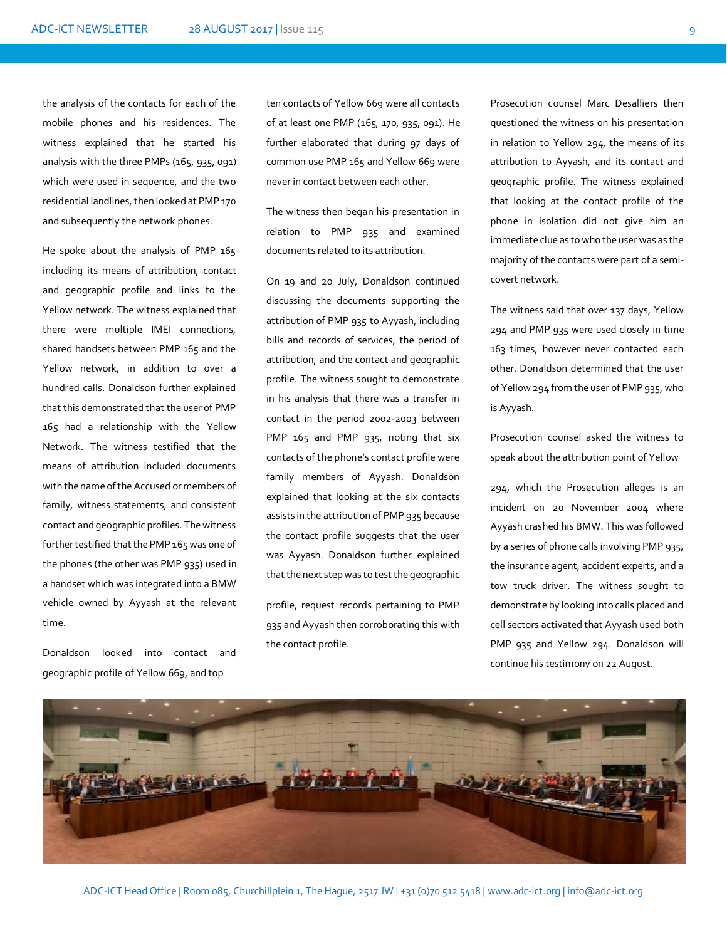the analysis of the contacts for each of the mobile phones and his residences. The witness explained that he started his analysis with the three PMPs (165, 935, 091) which were used in sequence, and the two residential landlines, then looked at PMP 170 and subsequently the network phones.

He spoke about the analysis of PMP 165 including its means of attribution, contact and geographic profile and links to the Yellow network. The witness explained that there were multiple IMEI connections, shared handsets between PMP 165 and the Yellow network, in addition to over a hundred calls. Donaldson further explained that this demonstrated that the user of PMP 165 had a relationship with the Yellow Network. The witness testified that the means of attribution included documents with the name of the Accused or members of family, witness statements, and consistent contact and geographic profiles. The witness further testified that the PMP 165 was one of the phones (the other was PMP 935) used in a handset which was integrated into a BMW vehicle owned by Ayyash at the relevant time.

Donaldson looked into contact and geographic profile of Yellow 669, and top

ten contacts of Yellow 669 were all contacts of at least one PMP (165, 170, 935, 091). He further elaborated that during 97 days of common use PMP 165 and Yellow 669 were never in contact between each other.

The witness then began his presentation in relation to PMP 935 and examined documents related to its attribution.

On 19 and 20 July, Donaldson continued discussing the documents supporting the attribution of PMP 935 to Ayyash, including bills and records of services, the period of attribution, and the contact and geographic profile. The witness sought to demonstrate in his analysis that there was a transfer in contact in the period 2002-2003 between PMP 165 and PMP 935, noting that six contacts of the phone's contact profile were family members of Ayyash. Donaldson explained that looking at the six contacts assists in the attribution of PMP 935 because the contact profile suggests that the user was Ayyash. Donaldson further explained that the next step was to test the geographic

profile, request records pertaining to PMP 935 and Ayyash then corroborating this with the contact profile.

Prosecution counsel Marc Desalliers then questioned the witness on his presentation in relation to Yellow 294, the means of its attribution to Ayyash, and its contact and geographic profile. The witness explained that looking at the contact profile of the phone in isolation did not give him an immediate clue as to who the user was as the majority of the contacts were part of a semicovert network.

The witness said that over 137 days, Yellow 294 and PMP 935 were used closely in time 163 times, however never contacted each other. Donaldson determined that the user of Yellow 294 from the user of PMP 935, who is Ayyash.

Prosecution counsel asked the witness to speak about the attribution point of Yellow

294, which the Prosecution alleges is an incident on 20 November 2004 where Ayyash crashed his BMW. This was followed by a series of phone calls involving PMP 935, the insurance agent, accident experts, and a tow truck driver. The witness sought to demonstrate by looking into calls placed and cell sectors activated that Ayyash used both PMP 935 and Yellow 294. Donaldson will continue his testimony on 22 August.

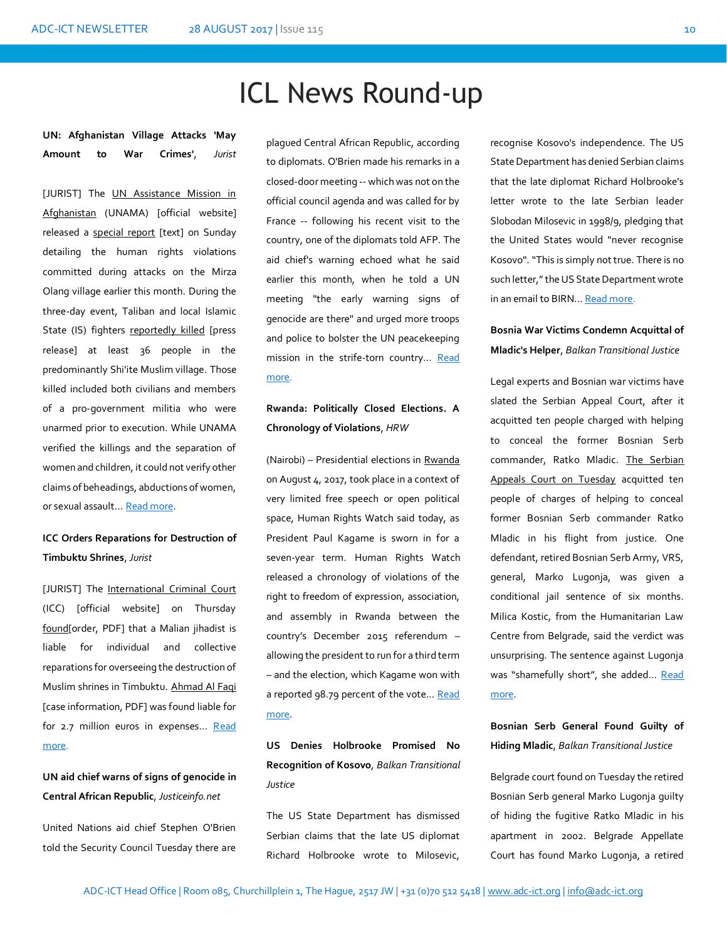# ICL News Round-up

**UN: Afghanistan Village Attacks 'May Amount to War Crimes'**, *Jurist*

[JURIST] The **UN Assistance Mission in** [Afghanistan](https://unama.unmissions.org/) (UNAMA) [official website] released a [special report](https://unama.unmissions.org/unama-human-rights-report-mass-killings-mirza-olang) [text] on Sunday detailing the human rights violations committed during attacks on the Mirza Olang village earlier this month. During the three-day event, Taliban and local Islamic State (IS) fighters [reportedly killed](https://unama.unmissions.org/unama-human-rights-report-mass-killings-mirza-olang) [press release] at least 36 people in the predominantly Shi'ite Muslim village. Those killed included both civilians and members of a pro-government militia who were unarmed prior to execution. While UNAMA verified the killings and the separation of women and children, it could not verify other claims of beheadings, abductions of women, or sexual assault... Read more.

# **ICC Orders Reparations for Destruction of Timbuktu Shrines**, *Jurist*

[JURIST] The [International Criminal Court](https://www.icc-cpi.int/Pages/Main.aspx) (ICC) [official website] on Thursday [found\[](https://www.icc-cpi.int/CourtRecords/CR2017_05117.PDF)order, PDF] that a Malian jihadist is liable for individual and collective reparations for overseeing the destruction of Muslim shrines in Timbuktu. [Ahmad Al Faqi](https://www.icc-cpi.int/mali/al-mahdi/Documents/AlMahdiEng.pdf) [case information, PDF] was found liable for for 2.7 million euros in expenses... Read [more.](http://www.jurist.org/paperchase/2017/08/icc-orders-reparations-for-destruction-of-timbuktu-shrines.php)

# **UN aid chief warns of signs of genocide in Central African Republic**, *Justiceinfo.net*

United Nations aid chief Stephen O'Brien told the Security Council Tuesday there are

plagued Central African Republic, according to diplomats. O'Brien made his remarks in a closed-door meeting -- which was not on the official council agenda and was called for by France -- following his recent visit to the country, one of the diplomats told AFP. The aid chief's warning echoed what he said earlier this month, when he told a UN meeting "the early warning signs of genocide are there" and urged more troops and police to bolster the UN peacekeeping mission in the strife-torn country... Read [more.](http://www.justiceinfo.net/en/component/k2/un-aid-chief-warns-of-signs-of-genocide-in-central-african-republic.html)

## **Rwanda: Politically Closed Elections. A Chronology of Violations**, *HRW*

(Nairobi) – Presidential elections in [Rwanda](https://www.hrw.org/africa/rwanda) on August 4, 2017, took place in a context of very limited free speech or open political space, Human Rights Watch said today, as President Paul Kagame is sworn in for a seven-year term. Human Rights Watch released a chronology of violations of the right to freedom of expression, association, and assembly in Rwanda between the country's December 2015 referendum – allowing the president to run for a third term – and the election, which Kagame won with a reported 98.79 percent of the vote... Read [more.](https://www.hrw.org/news/2017/08/18/rwanda-politically-closed-elections)

**US Denies Holbrooke Promised No Recognition of Kosovo***, Balkan Transitional Justice*

The US State Department has dismissed Serbian claims that the late US diplomat Richard Holbrooke wrote to Milosevic,

recognise Kosovo's independence. The US State Department has denied Serbian claims that the late diplomat Richard Holbrooke's letter wrote to the late Serbian leader Slobodan Milosevic in 1998/9, pledging that the United States would "never recognise Kosovo". "This is simply not true. There is no such letter," the US State Department wrote in an email to BIRN... [Read more.](http://www.balkaninsight.com/en/article/state-department-denies-existence-of-the-holbrook-s-kosovo-letter-08-21-2017)

## **Bosnia War Victims Condemn Acquittal of Mladic's Helper**, *Balkan Transitional Justice*

Legal experts and Bosnian war victims have slated the Serbian Appeal Court, after it acquitted ten people charged with helping to conceal the former Bosnian Serb commander, Ratko Mladic. [The Serbian](http://www.balkaninsight.com/en/article/bosnian-serb-general-found-guilty-of-hiding-mladic-08-22-2017)  [Appeals Court on Tuesday](http://www.balkaninsight.com/en/article/bosnian-serb-general-found-guilty-of-hiding-mladic-08-22-2017) acquitted ten people of charges of helping to conceal former Bosnian Serb commander Ratko Mladic in his flight from justice. One defendant, retired Bosnian Serb Army, VRS, general, Marko Lugonja, was given a conditional jail sentence of six months. Milica Kostic, from the Humanitarian Law Centre from Belgrade, said the verdict was unsurprising. The sentence against Lugonja was "shamefully short", she added... Read [more.](http://www.balkaninsight.com/en/article/verdict-against-mladic-concealers-predictable-and-shameful--08-23-2017)

### **Bosnian Serb General Found Guilty of Hiding Mladic**, *Balkan Transitional Justice*

Belgrade court found on Tuesday the retired Bosnian Serb general Marko Lugonja guilty of hiding the fugitive Ratko Mladic in his apartment in 2002. Belgrade Appellate Court has found Marko Lugonja, a retired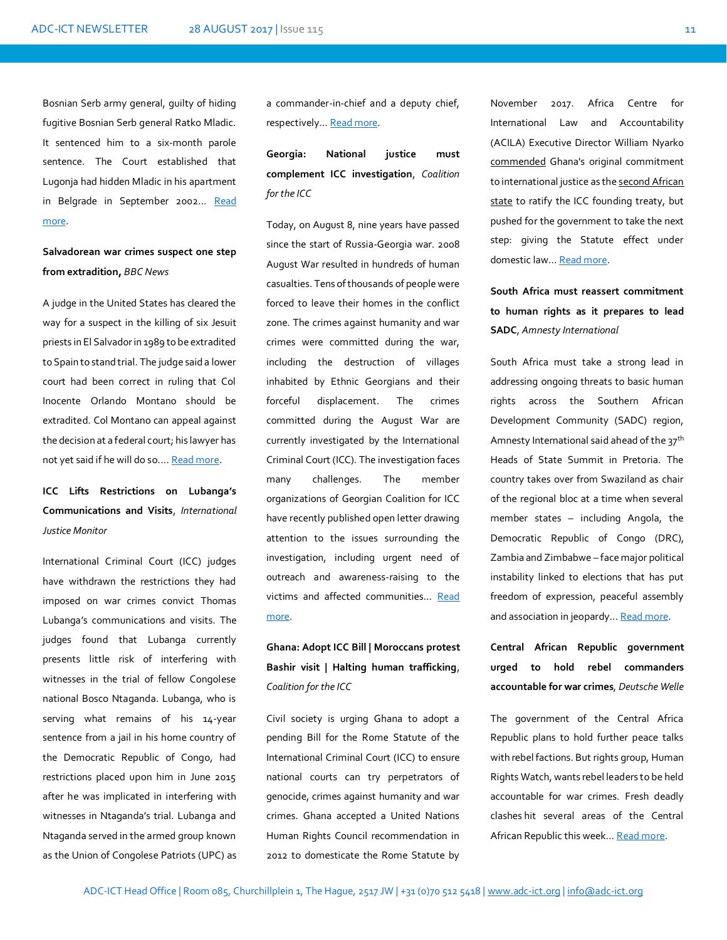Bosnian Serb army general, guilty of hiding fugitive Bosnian Serb general Ratko Mladic. It sentenced him to a six-month parole sentence. The Court established that Lugonja had hidden Mladic in his apartment in Belgrade in September 2002... Read [more.](http://www.balkaninsight.com/en/article/bosnian-serb-general-found-guilty-of-hiding-mladic-08-22-2017) 

**Salvadorean war crimes suspect one step from extradition,** *BBC News*

A judge in the United States has cleared the way for a suspect in the killing of six Jesuit priests in El Salvador in 1989 to be extradited to Spain to stand trial. The judge said a lower court had been correct in ruling that Col Inocente Orlando Montano should be extradited. Col Montano can appeal against the decision at a federal court; his lawyer has not yet said if he will do so.... [Read more.](http://www.bbc.com/news/world-latin-america-41011148)

# **ICC Lifts Restrictions on Lubanga's Communications and Visits**, *International Justice Monitor*

International Criminal Court (ICC) judges have withdrawn the restrictions they had imposed on war crimes convict Thomas Lubanga's communications and visits. The judges found that Lubanga currently presents little risk of interfering with witnesses in the trial of fellow Congolese national Bosco Ntaganda. Lubanga, who is serving what remains of his 14-year sentence from a jail in his home country of the Democratic Republic of Congo, had restrictions placed upon him in June 2015 after he was implicated in interfering with witnesses in Ntaganda's trial. Lubanga and Ntaganda served in the armed group known as the Union of Congolese Patriots (UPC) as

a commander-in-chief and a deputy chief, respectively... Read more.

**Georgia: National justice must complement ICC investigation**, *Coalition for the ICC*

Today, on August 8, nine years have passed since the start of Russia-Georgia war. 2008 August War resulted in hundreds of human casualties. Tens of thousands of people were forced to leave their homes in the conflict zone. The crimes against humanity and war crimes were committed during the war, including the destruction of villages inhabited by Ethnic Georgians and their forceful displacement. The crimes committed during the August War are currently investigated by the International Criminal Court (ICC). The investigation faces many challenges. The member organizations of Georgian Coalition for ICC have recently published open letter drawing attention to the issues surrounding the investigation, including urgent need of outreach and awareness-raising to the victims and affected communities… [Read](http://www.coalitionfortheicc.org/news/20170810/georgia-national-justice-must-complement-icc-investigation)  [more.](http://www.coalitionfortheicc.org/news/20170810/georgia-national-justice-must-complement-icc-investigation)

# **Ghana: Adopt ICC Bill | Moroccans protest Bashir visit | Halting human trafficking**, *Coalition for the ICC*

Civil society is urging Ghana to adopt a pending Bill for the Rome Statute of the International Criminal Court (ICC) to ensure national courts can try perpetrators of genocide, crimes against humanity and war crimes. Ghana accepted a United Nations Human Rights Council recommendation in 2012 to domesticate the Rome Statute by

November 2017. Africa Centre for International Law and Accountability (ACILA) Executive Director William Nyarko [commended](http://www.graphic.com.gh/news/general-news/acila-urges-akufo-addo-administration-to-pass-int-criminal-court-bill.html) Ghana's original commitment to international justice as th[e second African](http://www.coalitionfortheicc.org/country/ghana)  [state](http://www.coalitionfortheicc.org/country/ghana) to ratify the ICC founding treaty, but pushed for the government to take the next step: giving the Statute effect under domestic law… [Read more.](http://www.coalitionfortheicc.org/news/20170802/ghana-adopt-icc-bill-moroccans-protest-bashir-visit-halting-human-trafficking)

**South Africa must reassert commitment to human rights as it prepares to lead SADC**, *Amnesty International*

South Africa must take a strong lead in addressing ongoing threats to basic human rights across the Southern African Development Community (SADC) region, Amnesty International said ahead of the 37<sup>th</sup> Heads of State Summit in Pretoria. The country takes over from Swaziland as chair of the regional bloc at a time when several member states – including Angola, the Democratic Republic of Congo (DRC), Zambia and Zimbabwe – face major political instability linked to elections that has put freedom of expression, peaceful assembly and association in jeopardy… [Read more.](https://www.amnesty.org/en/latest/news/2017/08/south-africa-must-reassert-commitment-to-human-rights-as-it-prepares-to-lead-sadc/)

**Central African Republic government urged to hold rebel commanders accountable for war crimes**, *Deutsche Welle*

The government of the Central Africa Republic plans to hold further peace talks with rebel factions. But rights group, Human Rights Watch, wants rebel leaders to be held accountable for war crimes. Fresh deadly clashes hit several areas of the Central African Republic this week... [Read more.](http://www.dw.com/en/central-african-republic-government-urged-to-hold-rebel-commanders-accountable-for-war-crimes/a-40183509)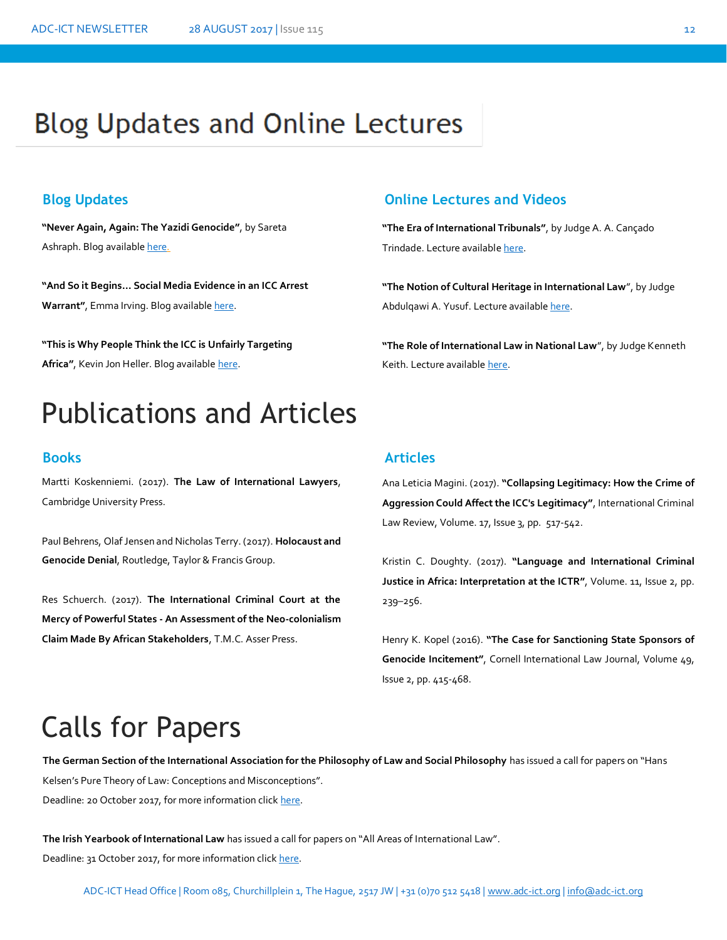# **Blog Updates and Online Lectures**

**"Never Again, Again: The Yazidi Genocide"**, by Sareta Ashraph. Blog availabl[e here.](https://ilg2.org/2017/08/15/never-again-again-the-yazidi-genocide/#more-19776)

**"And So it Begins… Social Media Evidence in an ICC Arrest**  Warrant", Emma Irving. Blog availabl[e here.](http://opiniojuris.org/2017/08/17/and-so-it-begins-social-media-evidence-in-an-icc-arrest-warrant/)

**"This is Why People Think the ICC is Unfairly Targeting**  Africa", Kevin Jon Heller. Blog available [here.](http://opiniojuris.org/2017/08/17/this-is-why-people-think-the-icc-is-unfairly-targeting-africa/)

# Publications and Articles

Martti Koskenniemi. (2017). **The Law of International Lawyers**, Cambridge University Press.

Paul Behrens, Olaf Jensen and Nicholas Terry. (2017). **Holocaust and Genocide Denial**, Routledge, Taylor & Francis Group.

Res Schuerch. (2017). **The International Criminal Court at the Mercy of Powerful States - An Assessment of the Neo-colonialism Claim Made By African Stakeholders**, T.M.C. Asser Press.

# **Blog Updates Online Lectures and Videos**

**"The Era of International Tribunals"**, by Judge A. A. Cançado Trindade. Lecture availabl[e here.](http://legal.un.org/avl/ls/Cancado-Trindade_CT.html)

**"The Notion of Cultural Heritage in International Law**", by Judge Abdulqawi A. Yusuf. Lecture availabl[e here.](http://legal.un.org/avl/ls/Yusuf_CH.html)

**"The Role of International Law in National Law**", by Judge Kenneth Keith. Lecture available [here.](http://legal.un.org/avl/ls/Keith_IL.html)

### **Books Articles**

Ana Leticia Magini. (2017). **"Collapsing Legitimacy: How the Crime of Aggression Could Affect the ICC's Legitimacy"**, International Criminal Law Review, Volume. 17, Issue 3, pp. 517-542.

Kristin C. Doughty. (2017). **"Language and International Criminal Justice in Africa: Interpretation at the ICTR"**, Volume. 11, Issue 2, pp. 239–256.

Henry K. Kopel (2016). **"The Case for Sanctioning State Sponsors of Genocide Incitement"**, Cornell International Law Journal, Volume 49, Issue 2, pp. 415-468.

# Calls for Papers

**The German Section of the International Association for the Philosophy of Law and Social Philosophy** has issued a call for papers on "Hans The German Section of the International Association for the P<br>Kelsen's Pure Theory of Law: Conceptions and Misconceptions". Deadline: 20 October 2017, for more information click [here.](http://www.esil-sedi.eu/node/1822)

**The Irish Yearbook of International Law** has issued a call for papers on "All Areas of International Law". Deadline: 31 October 2017, for more information clic[k here.](https://ilg2.org/2017/08/05/write-on-irish-yearbook-of-international-law/)

ADC-ICT Head Office | Room 085, Churchillplein 1, The Hague, 2517 JW | +31 (0)70 512 5418 [| www.adc-ict.org](http://www.adc-ict.org/) | [info@adc-ict.org](mailto:info@adc-ict.org)